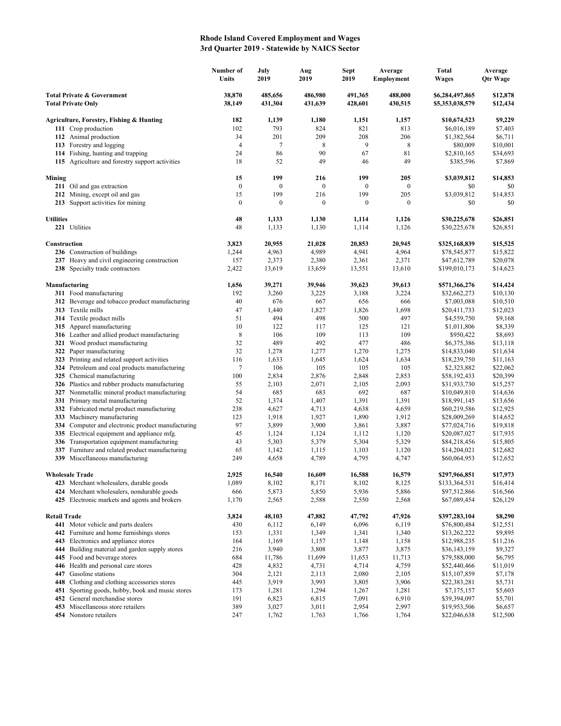## **Rhode Island Covered Employment and Wages 3rd Quarter 2019 - Statewide by NAICS Sector**

|                                                                    |                                                                                             | Number of<br>Units     | July<br>2019            | Aug<br>2019             | <b>Sept</b><br>2019     | Average<br>Employment | <b>Total</b><br><b>Wages</b>       | Average<br><b>Qtr Wage</b> |
|--------------------------------------------------------------------|---------------------------------------------------------------------------------------------|------------------------|-------------------------|-------------------------|-------------------------|-----------------------|------------------------------------|----------------------------|
| <b>Total Private &amp; Government</b><br><b>Total Private Only</b> |                                                                                             | 38,870<br>38,149       | 485,656<br>431,304      | 486,980<br>431,639      | 491,365<br>428,601      | 488,000<br>430,515    | \$6,284,497,865<br>\$5,353,038,579 | \$12,878<br>\$12,434       |
|                                                                    | Agriculture, Forestry, Fishing & Hunting                                                    | 182                    | 1,139                   | 1,180                   | 1,151                   | 1,157                 | \$10,674,523                       | \$9,229                    |
|                                                                    | 111 Crop production                                                                         | 102                    | 793                     | 824                     | 821                     | 813                   | \$6,016,189                        | \$7,403                    |
|                                                                    | 112 Animal production                                                                       | 34                     | 201                     | 209                     | 208                     | 206                   | \$1,382,564                        | \$6,711                    |
|                                                                    | 113 Forestry and logging                                                                    | $\overline{4}$         | $\tau$                  | 8                       | $\overline{9}$          | 8                     | \$80,009                           | \$10,001                   |
|                                                                    | 114 Fishing, hunting and trapping                                                           | 24                     | 86                      | 90                      | 67                      | 81                    | \$2,810,165                        | \$34,693                   |
|                                                                    | 115 Agriculture and forestry support activities                                             | 18                     | 52                      | 49                      | 46                      | 49                    | \$385,596                          | \$7,869                    |
| Mining                                                             |                                                                                             | 15                     | 199                     | 216                     | 199                     | 205                   | \$3,039,812                        | \$14,853                   |
|                                                                    | 211 Oil and gas extraction                                                                  | $\boldsymbol{0}$       | $\boldsymbol{0}$        | $\mathbf{0}$            | $\boldsymbol{0}$        | $\mathbf{0}$          | \$0                                | \$0                        |
|                                                                    | 212 Mining, except oil and gas<br>213 Support activities for mining                         | 15<br>$\boldsymbol{0}$ | 199<br>$\boldsymbol{0}$ | 216<br>$\boldsymbol{0}$ | 199<br>$\boldsymbol{0}$ | 205<br>$\mathbf{0}$   | \$3,039,812<br>\$0                 | \$14,853<br>\$0            |
|                                                                    |                                                                                             |                        |                         |                         |                         |                       |                                    |                            |
| <b>Utilities</b>                                                   |                                                                                             | 48                     | 1,133                   | 1,130                   | 1,114                   | 1,126                 | \$30,225,678                       | \$26,851                   |
|                                                                    | 221 Utilities                                                                               | 48                     | 1,133                   | 1,130                   | 1,114                   | 1,126                 | \$30,225,678                       | \$26,851                   |
| Construction                                                       |                                                                                             | 3,823                  | 20,955                  | 21,028                  | 20,853                  | 20,945                | \$325,168,839                      | \$15,525                   |
|                                                                    | 236 Construction of buildings                                                               | 1,244                  | 4,963                   | 4,989                   | 4,941                   | 4,964                 | \$78,545,877                       | \$15,822                   |
|                                                                    | 237 Heavy and civil engineering construction                                                | 157                    | 2,373                   | 2,380                   | 2,361                   | 2,371                 | \$47,612,789                       | \$20,078                   |
|                                                                    | 238 Specialty trade contractors                                                             | 2,422                  | 13,619                  | 13,659                  | 13,551                  | 13,610                | \$199,010,173                      | \$14,623                   |
| Manufacturing                                                      |                                                                                             | 1,656                  | 39,271                  | 39,946                  | 39,623                  | 39,613                | \$571,366,276                      | \$14,424                   |
|                                                                    | 311 Food manufacturing                                                                      | 192                    | 3,260                   | 3,225                   | 3,188                   | 3,224                 | \$32,662,273                       | \$10,130                   |
|                                                                    | 312 Beverage and tobacco product manufacturing                                              | 40                     | 676                     | 667                     | 656                     | 666                   | \$7,003,088                        | \$10,510                   |
|                                                                    | 313 Textile mills                                                                           | 47                     | 1,440                   | 1,827                   | 1,826                   | 1,698                 | \$20,411,733                       | \$12,023                   |
|                                                                    | 314 Textile product mills                                                                   | 51                     | 494                     | 498                     | 500                     | 497                   | \$4,559,750                        | \$9,168                    |
|                                                                    | 315 Apparel manufacturing                                                                   | 10                     | 122                     | 117                     | 125                     | 121                   | \$1,011,806                        | \$8,339                    |
|                                                                    | 316 Leather and allied product manufacturing                                                | 8                      | 106                     | 109                     | 113                     | 109                   | \$950,422                          | \$8,693                    |
|                                                                    | 321 Wood product manufacturing                                                              | 32<br>32               | 489<br>1,278            | 492                     | 477<br>1,270            | 486<br>1,275          | \$6,375,386<br>\$14,833,040        | \$13,118                   |
|                                                                    | 322 Paper manufacturing<br>323 Printing and related support activities                      | 116                    | 1,633                   | 1,277<br>1,645          | 1,624                   | 1,634                 | \$18,239,750                       | \$11,634<br>\$11,163       |
|                                                                    | 324 Petroleum and coal products manufacturing                                               | $\tau$                 | 106                     | 105                     | 105                     | 105                   | \$2,323,882                        | \$22,062                   |
|                                                                    | 325 Chemical manufacturing                                                                  | 100                    | 2,834                   | 2,876                   | 2,848                   | 2,853                 | \$58,192,433                       | \$20,399                   |
|                                                                    | 326 Plastics and rubber products manufacturing                                              | 55                     | 2,103                   | 2,071                   | 2,105                   | 2,093                 | \$31,933,730                       | \$15,257                   |
|                                                                    | 327 Nonmetallic mineral product manufacturing                                               | 54                     | 685                     | 683                     | 692                     | 687                   | \$10,049,810                       | \$14,636                   |
|                                                                    | 331 Primary metal manufacturing                                                             | 52                     | 1,374                   | 1,407                   | 1,391                   | 1,391                 | \$18,991,145                       | \$13,656                   |
|                                                                    | 332 Fabricated metal product manufacturing                                                  | 238                    | 4,627                   | 4,713                   | 4,638                   | 4,659                 | \$60,219,586                       | \$12,925                   |
|                                                                    | 333 Machinery manufacturing                                                                 | 123                    | 1,918                   | 1,927                   | 1,890                   | 1,912                 | \$28,009,269                       | \$14,652                   |
|                                                                    | 334 Computer and electronic product manufacturing                                           | 97                     | 3,899                   | 3,900                   | 3,861                   | 3,887                 | \$77,024,716                       | \$19,818                   |
|                                                                    | 335 Electrical equipment and appliance mfg.                                                 | 45                     | 1,124                   | 1,124                   | 1,112                   | 1,120                 | \$20,087,027                       | \$17,935                   |
|                                                                    | 336 Transportation equipment manufacturing                                                  | 43                     | 5,303                   | 5,379                   | 5,304                   | 5,329                 | \$84,218,456                       | \$15,805                   |
|                                                                    | 337 Furniture and related product manufacturing                                             | 65                     | 1,142                   | 1,115                   | 1,103                   | 1,120                 | \$14,204,021                       | \$12,682                   |
|                                                                    | 339 Miscellaneous manufacturing                                                             | 249                    | 4,658                   | 4,789                   | 4,795                   | 4,747                 | \$60,064,953                       | \$12,652                   |
|                                                                    | <b>Wholesale Trade</b>                                                                      | 2,925                  | 16,540                  | 16,609                  | 16,588                  | 16,579                | \$297,966,851                      | \$17,973                   |
|                                                                    | 423 Merchant wholesalers, durable goods                                                     | 1,089                  | 8,102                   | 8,171                   | 8,102                   | 8,125                 | \$133,364,531                      | \$16,414                   |
|                                                                    | 424 Merchant wholesalers, nondurable goods<br>425 Electronic markets and agents and brokers | 666<br>1,170           | 5,873<br>2,565          | 5,850<br>2,588          | 5,936<br>2,550          | 5,886<br>2,568        | \$97,512,866<br>\$67,089,454       | \$16,566<br>\$26,129       |
|                                                                    |                                                                                             |                        |                         |                         |                         |                       |                                    |                            |
| <b>Retail Trade</b>                                                |                                                                                             | 3,824                  | 48,103                  | 47,882                  | 47,792                  | 47,926                | \$397,283,104                      | \$8,290                    |
|                                                                    | 441 Motor vehicle and parts dealers<br>442 Furniture and home furnishings stores            | 430<br>153             | 6,112<br>1,331          | 6,149<br>1,349          | 6,096<br>1,341          | 6,119<br>1,340        | \$76,800,484<br>\$13,262,222       | \$12,551<br>\$9,895        |
| 443                                                                | Electronics and appliance stores                                                            | 164                    | 1,169                   | 1,157                   | 1,148                   | 1,158                 | \$12,988,235                       | \$11,216                   |
|                                                                    | 444 Building material and garden supply stores                                              | 216                    | 3,940                   | 3,808                   | 3,877                   | 3,875                 | \$36,143,159                       | \$9,327                    |
|                                                                    | 445 Food and beverage stores                                                                | 684                    | 11,786                  | 11,699                  | 11,653                  | 11,713                | \$79,588,000                       | \$6,795                    |
|                                                                    | 446 Health and personal care stores                                                         | 428                    | 4,832                   | 4,731                   | 4,714                   | 4,759                 | \$52,440,466                       | \$11,019                   |
|                                                                    | 447 Gasoline stations                                                                       | 304                    | 2,121                   | 2,113                   | 2,080                   | 2,105                 | \$15,107,859                       | \$7,178                    |
|                                                                    | 448 Clothing and clothing accessories stores                                                | 445                    | 3,919                   | 3,993                   | 3,805                   | 3,906                 | \$22,383,281                       | \$5,731                    |
|                                                                    | 451 Sporting goods, hobby, book and music stores                                            | 173                    | 1,281                   | 1,294                   | 1,267                   | 1,281                 | \$7,175,157                        | \$5,603                    |
|                                                                    | 452 General merchandise stores                                                              | 191                    | 6,823                   | 6,815                   | 7,091                   | 6,910                 | \$39,394,097                       | \$5,701                    |
|                                                                    | 453 Miscellaneous store retailers                                                           | 389                    | 3,027                   | 3,011                   | 2,954                   | 2,997                 | \$19,953,506                       | \$6,657                    |
|                                                                    | 454 Nonstore retailers                                                                      | 247                    | 1,762                   | 1,763                   | 1,766                   | 1,764                 | \$22,046,638                       | \$12,500                   |